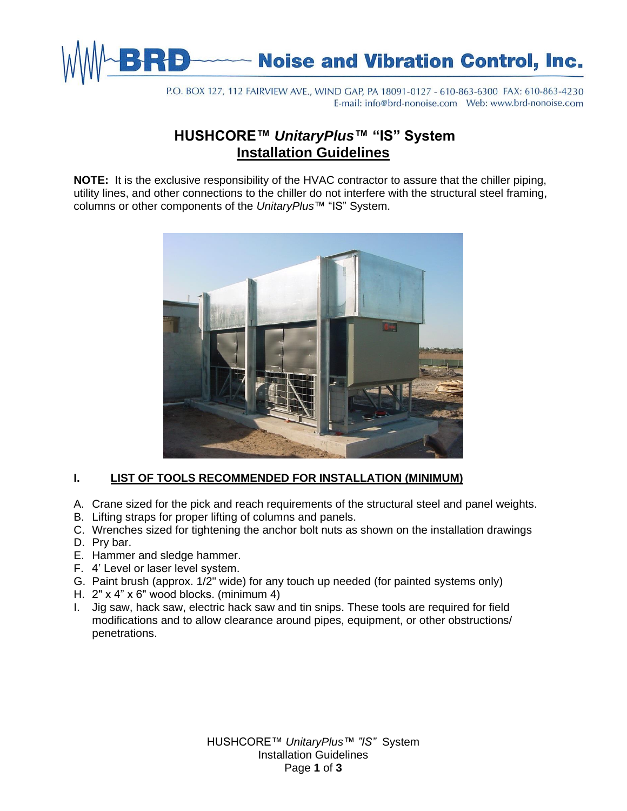

P.O. BOX 127, 112 FAIRVIEW AVE., WIND GAP, PA 18091-0127 - 610-863-6300 FAX: 610-863-4230 

# **HUSHCORE™** *UnitaryPlus***™ "IS" System Installation Guidelines**

**NOTE:** It is the exclusive responsibility of the HVAC contractor to assure that the chiller piping, utility lines, and other connections to the chiller do not interfere with the structural steel framing, columns or other components of the *UnitaryPlus*™ "IS" System.



# **I. LIST OF TOOLS RECOMMENDED FOR INSTALLATION (MINIMUM)**

- A. Crane sized for the pick and reach requirements of the structural steel and panel weights.
- B. Lifting straps for proper lifting of columns and panels.
- C. Wrenches sized for tightening the anchor bolt nuts as shown on the installation drawings
- D. Pry bar.
- E. Hammer and sledge hammer.
- F. 4' Level or laser level system.
- G. Paint brush (approx. 1/2" wide) for any touch up needed (for painted systems only)
- H. 2" x 4" x 6" wood blocks. (minimum 4)
- I. Jig saw, hack saw, electric hack saw and tin snips. These tools are required for field modifications and to allow clearance around pipes, equipment, or other obstructions/ penetrations.

HUSHCORE™ *UnitaryPlus™ "IS"* System Installation Guidelines Page **1** of **3**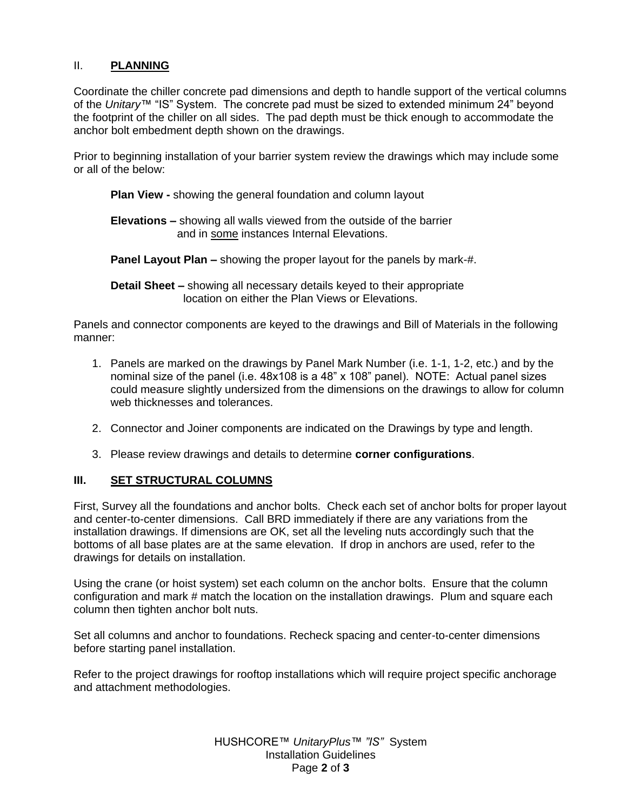#### II. **PLANNING**

Coordinate the chiller concrete pad dimensions and depth to handle support of the vertical columns of the *Unitary*™ "IS" System. The concrete pad must be sized to extended minimum 24" beyond the footprint of the chiller on all sides. The pad depth must be thick enough to accommodate the anchor bolt embedment depth shown on the drawings.

Prior to beginning installation of your barrier system review the drawings which may include some or all of the below:

**Plan View -** showing the general foundation and column layout

**Elevations –** showing all walls viewed from the outside of the barrier and in some instances Internal Elevations.

**Panel Layout Plan –** showing the proper layout for the panels by mark-#.

**Detail Sheet –** showing all necessary details keyed to their appropriate location on either the Plan Views or Elevations.

Panels and connector components are keyed to the drawings and Bill of Materials in the following manner:

- 1. Panels are marked on the drawings by Panel Mark Number (i.e. 1-1, 1-2, etc.) and by the nominal size of the panel (i.e. 48x108 is a 48" x 108" panel). NOTE: Actual panel sizes could measure slightly undersized from the dimensions on the drawings to allow for column web thicknesses and tolerances.
- 2. Connector and Joiner components are indicated on the Drawings by type and length.
- 3. Please review drawings and details to determine **corner configurations**.

#### **III. SET STRUCTURAL COLUMNS**

First, Survey all the foundations and anchor bolts. Check each set of anchor bolts for proper layout and center-to-center dimensions. Call BRD immediately if there are any variations from the installation drawings. If dimensions are OK, set all the leveling nuts accordingly such that the bottoms of all base plates are at the same elevation. If drop in anchors are used, refer to the drawings for details on installation.

Using the crane (or hoist system) set each column on the anchor bolts. Ensure that the column configuration and mark # match the location on the installation drawings. Plum and square each column then tighten anchor bolt nuts.

Set all columns and anchor to foundations. Recheck spacing and center-to-center dimensions before starting panel installation.

Refer to the project drawings for rooftop installations which will require project specific anchorage and attachment methodologies.

> HUSHCORE™ *UnitaryPlus™ "IS"* System Installation Guidelines Page **2** of **3**